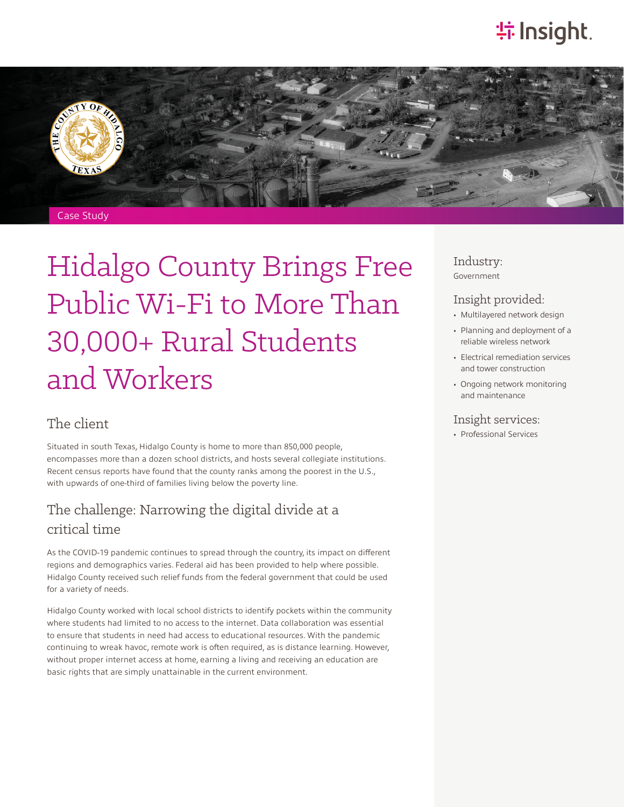# **特 Insight**.



# Hidalgo County Brings Free Public Wi-Fi to More Than 30,000+ Rural Students and Workers

#### The client

Situated in south Texas, Hidalgo County is home to more than 850,000 people, encompasses more than a dozen school districts, and hosts several collegiate institutions. Recent census reports have found that the county ranks among the poorest in the U.S., with upwards of one-third of families living below the poverty line.

#### The challenge: Narrowing the digital divide at a critical time

As the COVID-19 pandemic continues to spread through the country, its impact on different regions and demographics varies. Federal aid has been provided to help where possible. Hidalgo County received such relief funds from the federal government that could be used for a variety of needs.

Hidalgo County worked with local school districts to identify pockets within the community where students had limited to no access to the internet. Data collaboration was essential to ensure that students in need had access to educational resources. With the pandemic continuing to wreak havoc, remote work is often required, as is distance learning. However, without proper internet access at home, earning a living and receiving an education are basic rights that are simply unattainable in the current environment.

#### Industry: Government

#### Insight provided:

- Multilayered network design
- Planning and deployment of a reliable wireless network
- Electrical remediation services and tower construction
- Ongoing network monitoring and maintenance

#### Insight services:

• Professional Services